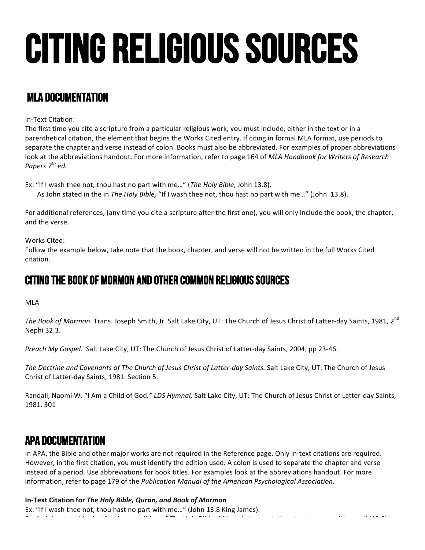# Citing religious sources

## MLA Documentation

In-Text Citation:

The first time you cite a scripture from a particular religious work, you must include, either in the text or in a parenthetical citation, the element that begins the Works Cited entry. If citing in formal MLA format, use periods to separate the chapter and verse instead of colon. Books must also be abbreviated. For examples of proper abbreviations look at the abbreviations handout. For more information, refer to page 164 of *MLA Handbook for Writers of Research Papers 7th ed.* 

Ex: "If I wash thee not, thou hast no part with me..." (*The Holy Bible*, John 13.8). As John stated in the in The Holy Bible, "If I wash thee not, thou hast no part with me..." (John 13.8).

For additional references, (any time you cite a scripture after the first one), you will only include the book, the chapter, and the verse.

#### Works Cited:

Follow the example below, take note that the book, chapter, and verse will not be written in the full Works Cited citation.

## Citing The book of Mormon And other common religious sources

#### MLA

*The Book of Mormon.* Trans. Joseph Smith, Jr. Salt Lake City, UT: The Church of Jesus Christ of Latter-day Saints, 1981, 2<sup>nd</sup> Nephi 32.3.

Preach My Gospel. Salt Lake City, UT: The Church of Jesus Christ of Latter-day Saints, 2004, pp 23-46.

*The Doctrine and Covenants of The Church of Jesus Christ of Latter-day Saints.* Salt Lake City, UT: The Church of Jesus Christ of Latter-day Saints, 1981. Section 5.

Randall, Naomi W. "I Am a Child of God." LDS Hymnal, Salt Lake City, UT: The Church of Jesus Christ of Latter-day Saints, 1981. 301

### APa Documentation

In APA, the Bible and other major works are not required in the Reference page. Only in-text citations are required. However, in the first citation, you must identify the edition used. A colon is used to separate the chapter and verse instead of a period. Use abbreviations for book titles. For examples look at the abbreviations handout. For more information, refer to page 179 of the *Publication Manual of the American Psychological Association.* 

**In-Text Citation for** *The Holy Bible, Quran, and Book of Mormon*

Ex: "If I wash thee not, thou hast no part with me..." (John 13:8 King James). Ex: The Constantine of the State of the United States of *Theory Wash* the United States of the United States of th<br>The United States of the United States of the United States of the United States of the United States of t